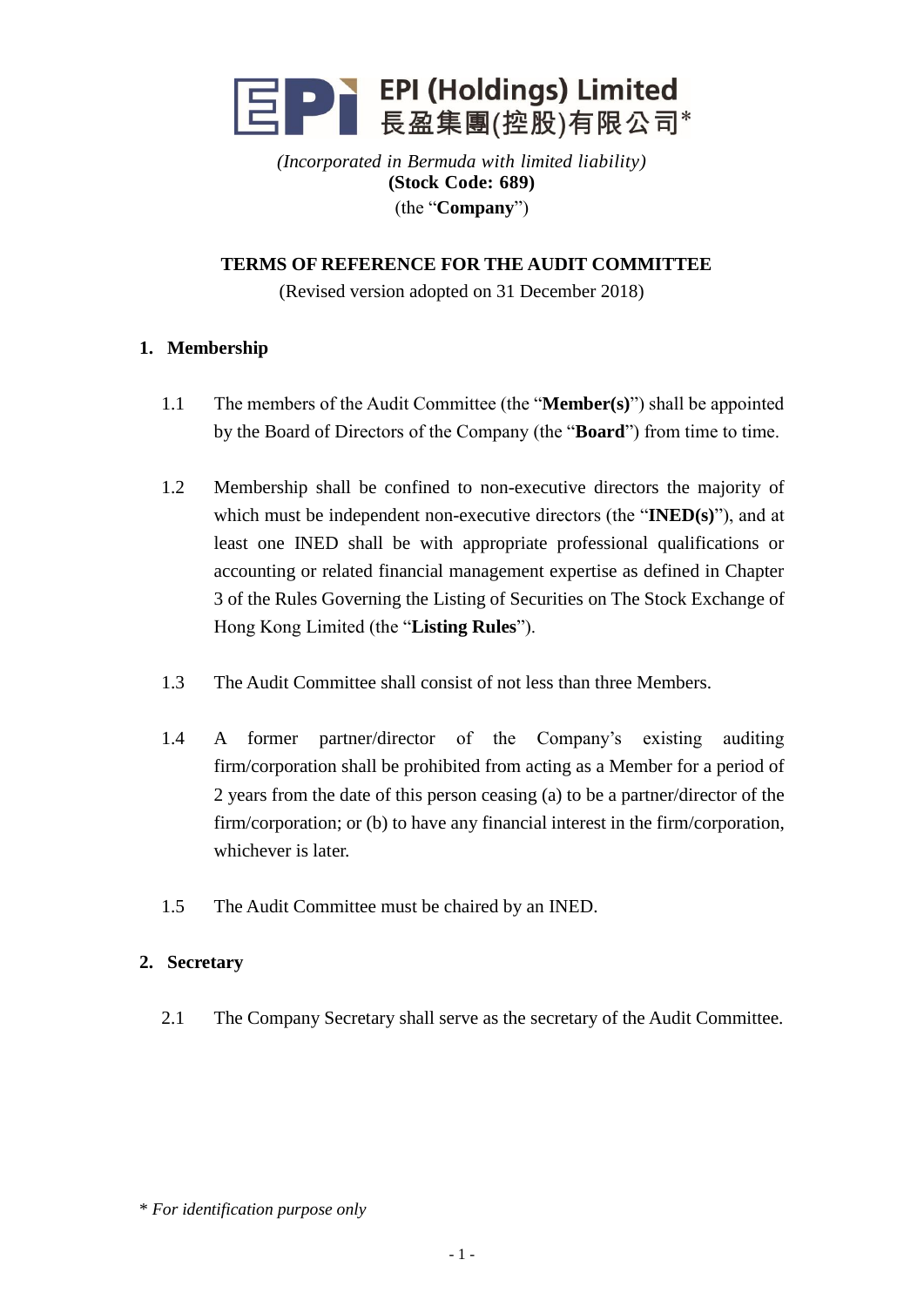

*(Incorporated in Bermuda with limited liability)* **(Stock Code: 689)** (the "**Company**")

**TERMS OF REFERENCE FOR THE AUDIT COMMITTEE**

(Revised version adopted on 31 December 2018)

### **1. Membership**

- 1.1 The members of the Audit Committee (the "**Member(s)**") shall be appointed by the Board of Directors of the Company (the "**Board**") from time to time.
- 1.2 Membership shall be confined to non-executive directors the majority of which must be independent non-executive directors (the "**INED(s)**"), and at least one INED shall be with appropriate professional qualifications or accounting or related financial management expertise as defined in Chapter 3 of the Rules Governing the Listing of Securities on The Stock Exchange of Hong Kong Limited (the "**Listing Rules**").
- 1.3 The Audit Committee shall consist of not less than three Members.
- 1.4 A former partner/director of the Company's existing auditing firm/corporation shall be prohibited from acting as a Member for a period of 2 years from the date of this person ceasing (a) to be a partner/director of the firm/corporation; or (b) to have any financial interest in the firm/corporation, whichever is later.
- 1.5 The Audit Committee must be chaired by an INED.

#### **2. Secretary**

2.1 The Company Secretary shall serve as the secretary of the Audit Committee.

<sup>\*</sup> *For identification purpose only*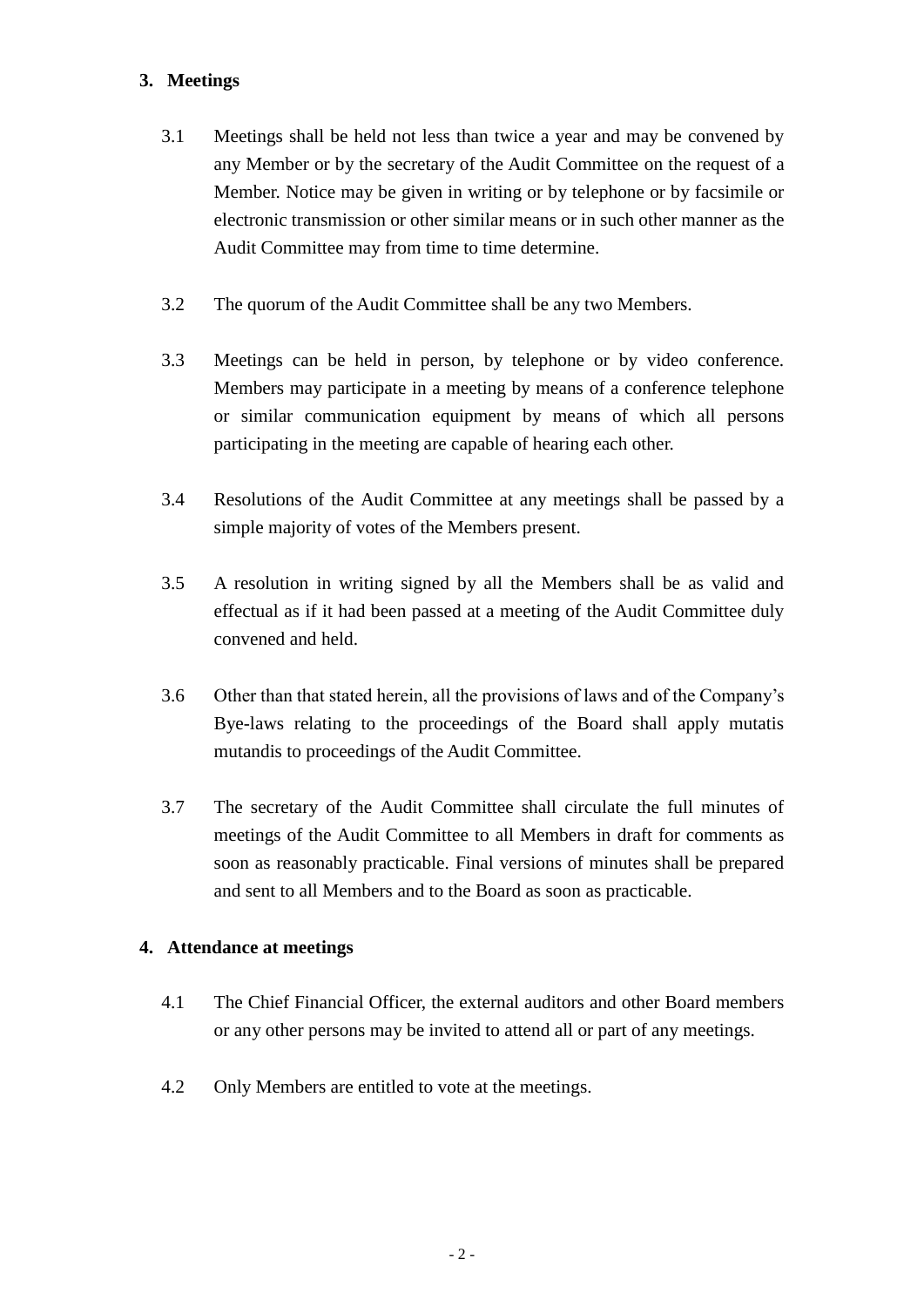# **3. Meetings**

- 3.1 Meetings shall be held not less than twice a year and may be convened by any Member or by the secretary of the Audit Committee on the request of a Member. Notice may be given in writing or by telephone or by facsimile or electronic transmission or other similar means or in such other manner as the Audit Committee may from time to time determine.
- 3.2 The quorum of the Audit Committee shall be any two Members.
- 3.3 Meetings can be held in person, by telephone or by video conference. Members may participate in a meeting by means of a conference telephone or similar communication equipment by means of which all persons participating in the meeting are capable of hearing each other.
- 3.4 Resolutions of the Audit Committee at any meetings shall be passed by a simple majority of votes of the Members present.
- 3.5 A resolution in writing signed by all the Members shall be as valid and effectual as if it had been passed at a meeting of the Audit Committee duly convened and held.
- 3.6 Other than that stated herein, all the provisions of laws and of the Company's Bye-laws relating to the proceedings of the Board shall apply mutatis mutandis to proceedings of the Audit Committee.
- 3.7 The secretary of the Audit Committee shall circulate the full minutes of meetings of the Audit Committee to all Members in draft for comments as soon as reasonably practicable. Final versions of minutes shall be prepared and sent to all Members and to the Board as soon as practicable.

### **4. Attendance at meetings**

- 4.1 The Chief Financial Officer, the external auditors and other Board members or any other persons may be invited to attend all or part of any meetings.
- 4.2 Only Members are entitled to vote at the meetings.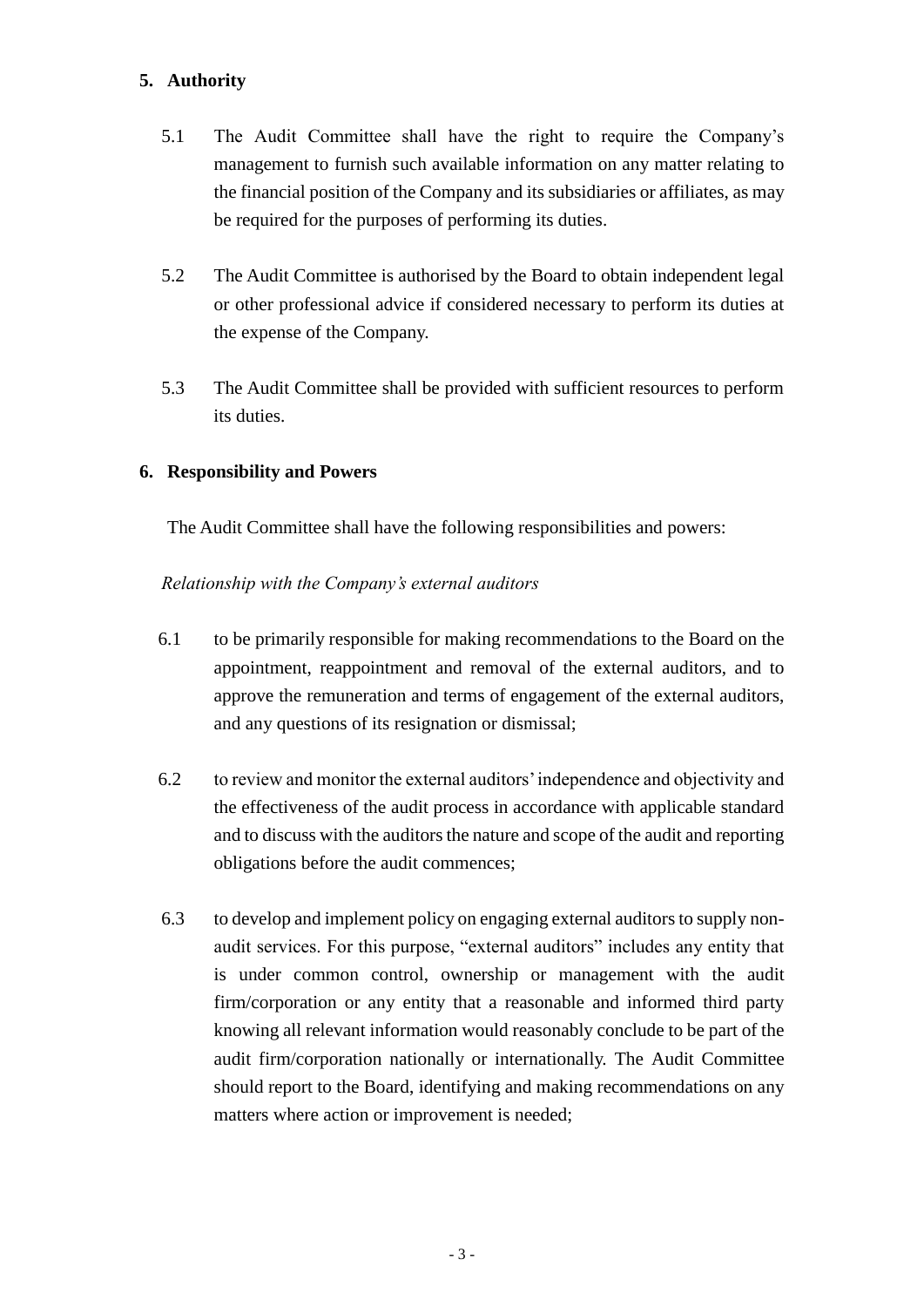# **5. Authority**

- 5.1 The Audit Committee shall have the right to require the Company's management to furnish such available information on any matter relating to the financial position of the Company and its subsidiaries or affiliates, as may be required for the purposes of performing its duties.
- 5.2 The Audit Committee is authorised by the Board to obtain independent legal or other professional advice if considered necessary to perform its duties at the expense of the Company.
- 5.3 The Audit Committee shall be provided with sufficient resources to perform its duties.

### **6. Responsibility and Powers**

The Audit Committee shall have the following responsibilities and powers:

#### *Relationship with the Company's external auditors*

- 6.1 to be primarily responsible for making recommendations to the Board on the appointment, reappointment and removal of the external auditors, and to approve the remuneration and terms of engagement of the external auditors, and any questions of its resignation or dismissal;
- 6.2 to review and monitor the external auditors' independence and objectivity and the effectiveness of the audit process in accordance with applicable standard and to discuss with the auditors the nature and scope of the audit and reporting obligations before the audit commences;
- 6.3 to develop and implement policy on engaging external auditors to supply nonaudit services. For this purpose, "external auditors" includes any entity that is under common control, ownership or management with the audit firm/corporation or any entity that a reasonable and informed third party knowing all relevant information would reasonably conclude to be part of the audit firm/corporation nationally or internationally. The Audit Committee should report to the Board, identifying and making recommendations on any matters where action or improvement is needed;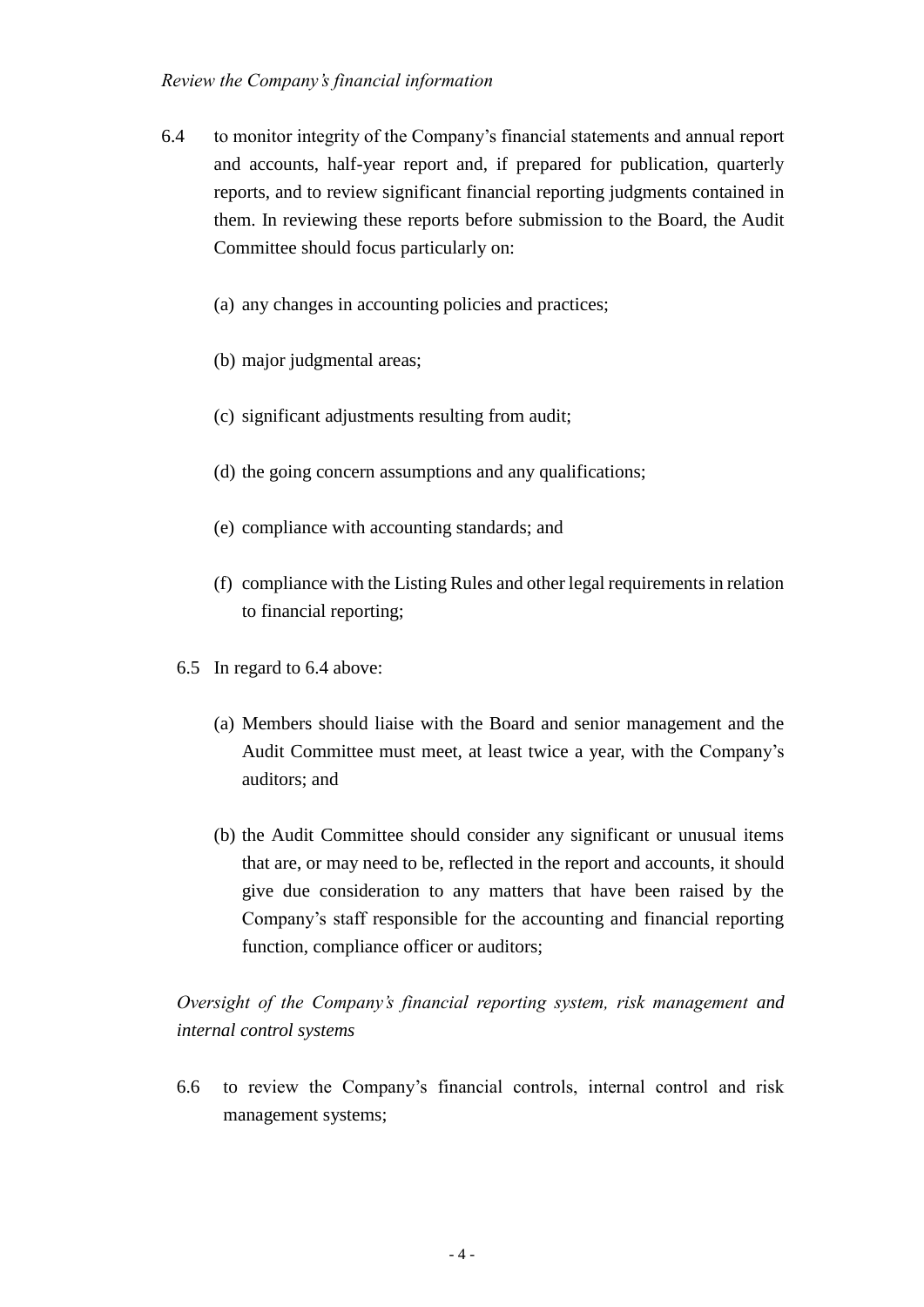#### *Review the Company's financial information*

- 6.4 to monitor integrity of the Company's financial statements and annual report and accounts, half-year report and, if prepared for publication, quarterly reports, and to review significant financial reporting judgments contained in them. In reviewing these reports before submission to the Board, the Audit Committee should focus particularly on:
	- (a) any changes in accounting policies and practices;
	- (b) major judgmental areas;
	- (c) significant adjustments resulting from audit;
	- (d) the going concern assumptions and any qualifications;
	- (e) compliance with accounting standards; and
	- (f) compliance with the Listing Rules and other legal requirements in relation to financial reporting;
	- 6.5 In regard to 6.4 above:
		- (a) Members should liaise with the Board and senior management and the Audit Committee must meet, at least twice a year, with the Company's auditors; and
		- (b) the Audit Committee should consider any significant or unusual items that are, or may need to be, reflected in the report and accounts, it should give due consideration to any matters that have been raised by the Company's staff responsible for the accounting and financial reporting function, compliance officer or auditors;

# *Oversight of the Company's financial reporting system, risk management and internal control systems*

6.6 to review the Company's financial controls, internal control and risk management systems;